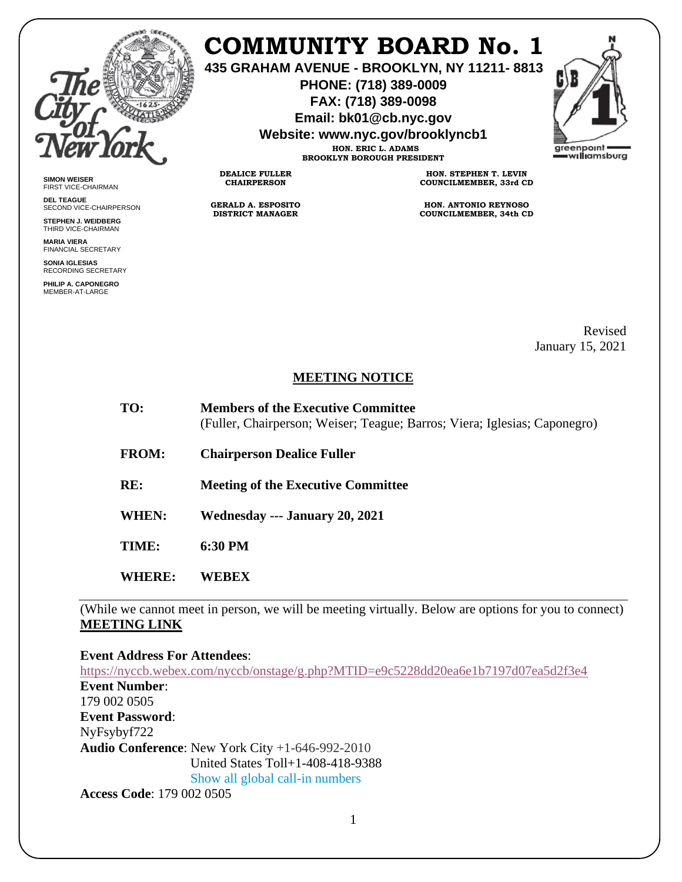

**SIMON WEISER** FIRST VICE-CHAIRMAN **DEL TEAGUE**

SECOND VICE-CHAIRPERSON **STEPHEN J. WEIDBERG** THIRD VICE-CHAIRMAN **MARIA VIERA** FINANCIAL SECRETARY **SONIA IGLESIAS** RECORDING SECRETARY **PHILIP A. CAPONEGRO** MEMBER-AT-LARGE

## **COMMUNITY BOARD No. 1**

**435 GRAHAM AVENUE - BROOKLYN, NY 11211- 8813**

**PHONE: (718) 389-0009 FAX: (718) 389-0098**

**Email: bk01@cb.nyc.gov**

**Website: www.nyc.gov/brooklyncb1**



**HON. ERIC L. ADAMS BROOKLYN BOROUGH PRESIDENT**

**DEALICE FULLER CHAIRPERSON**

**GERALD A. ESPOSITO DISTRICT MANAGER**

**HON. STEPHEN T. LEVIN COUNCILMEMBER, 33rd CD**

**HON. ANTONIO REYNOSO COUNCILMEMBER, 34th CD**

> Revised January 15, 2021

## **MEETING NOTICE**

| TO: | <b>Members of the Executive Committee</b>                                 |
|-----|---------------------------------------------------------------------------|
|     | (Fuller, Chairperson; Weiser; Teague; Barros; Viera; Iglesias; Caponegro) |

**FROM: Chairperson Dealice Fuller** 

**RE: Meeting of the Executive Committee**

**WHEN: Wednesday --- January 20, 2021**

**TIME: 6:30 PM**

**WHERE: WEBEX** 

(While we cannot meet in person, we will be meeting virtually. Below are options for you to connect) **MEETING LINK** 

**Event Address For Attendees**: <https://nyccb.webex.com/nyccb/onstage/g.php?MTID=e9c5228dd20ea6e1b7197d07ea5d2f3e4> **Event Number**: 179 002 0505 **Event Password**: NyFsybyf722 **Audio Conference**: New York City +1-646-992-2010 United States Toll+1-408-418-9388 Show all global call-in numbers **Access Code**: 179 002 0505